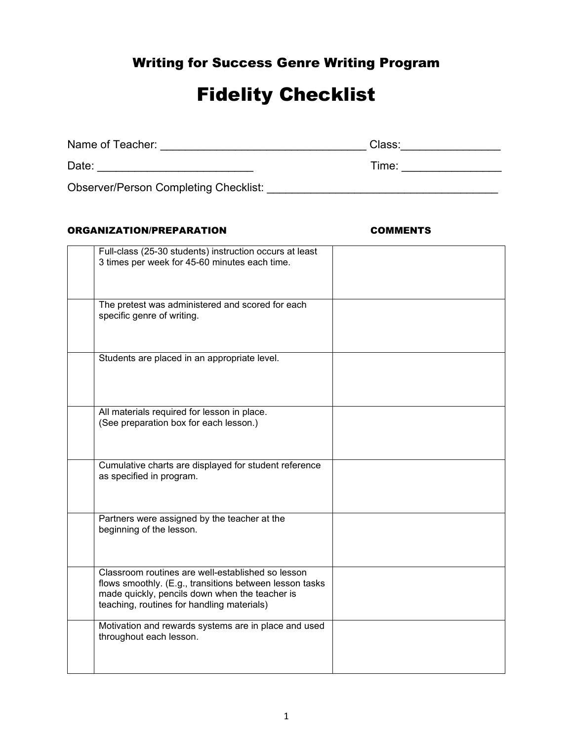## Writing for Success Genre Writing Program

# Fidelity Checklist

| Name of Teacher:                             | Class: |
|----------------------------------------------|--------|
| Date:                                        | Time:  |
| <b>Observer/Person Completing Checklist:</b> |        |

### ORGANIZATION/PREPARATION COMMENTS

| Full-class (25-30 students) instruction occurs at least |  |
|---------------------------------------------------------|--|
| 3 times per week for 45-60 minutes each time.           |  |
|                                                         |  |
|                                                         |  |
|                                                         |  |
| The pretest was administered and scored for each        |  |
| specific genre of writing.                              |  |
|                                                         |  |
|                                                         |  |
|                                                         |  |
| Students are placed in an appropriate level.            |  |
|                                                         |  |
|                                                         |  |
|                                                         |  |
|                                                         |  |
| All materials required for lesson in place.             |  |
| (See preparation box for each lesson.)                  |  |
|                                                         |  |
|                                                         |  |
|                                                         |  |
| Cumulative charts are displayed for student reference   |  |
| as specified in program.                                |  |
|                                                         |  |
|                                                         |  |
|                                                         |  |
| Partners were assigned by the teacher at the            |  |
| beginning of the lesson.                                |  |
|                                                         |  |
|                                                         |  |
|                                                         |  |
| Classroom routines are well-established so lesson       |  |
| flows smoothly. (E.g., transitions between lesson tasks |  |
| made quickly, pencils down when the teacher is          |  |
| teaching, routines for handling materials)              |  |
|                                                         |  |
| Motivation and rewards systems are in place and used    |  |
| throughout each lesson.                                 |  |
|                                                         |  |
|                                                         |  |
|                                                         |  |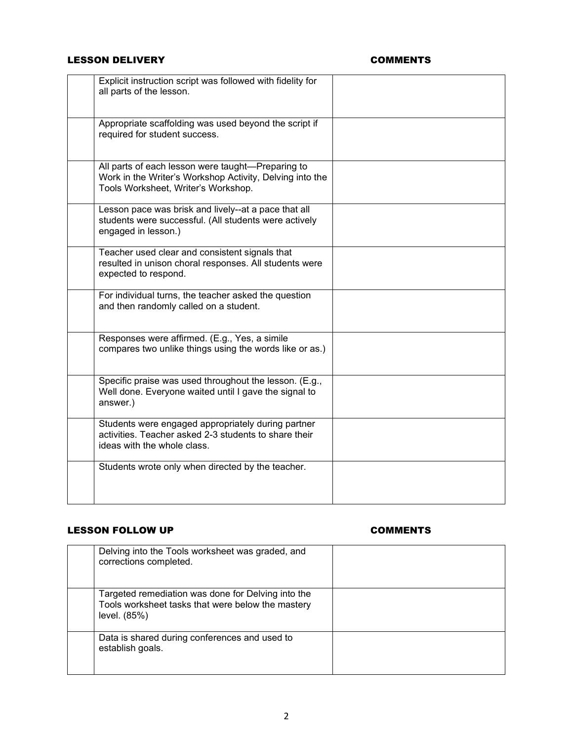### LESSON DELIVERY **COMMENTS**

| Explicit instruction script was followed with fidelity for<br>all parts of the lesson.                                                               |  |
|------------------------------------------------------------------------------------------------------------------------------------------------------|--|
| Appropriate scaffolding was used beyond the script if<br>required for student success.                                                               |  |
| All parts of each lesson were taught-Preparing to<br>Work in the Writer's Workshop Activity, Delving into the<br>Tools Worksheet, Writer's Workshop. |  |
| Lesson pace was brisk and lively--at a pace that all<br>students were successful. (All students were actively<br>engaged in lesson.)                 |  |
| Teacher used clear and consistent signals that<br>resulted in unison choral responses. All students were<br>expected to respond.                     |  |
| For individual turns, the teacher asked the question<br>and then randomly called on a student.                                                       |  |
| Responses were affirmed. (E.g., Yes, a simile<br>compares two unlike things using the words like or as.)                                             |  |
| Specific praise was used throughout the lesson. (E.g.,<br>Well done. Everyone waited until I gave the signal to<br>answer.)                          |  |
| Students were engaged appropriately during partner<br>activities. Teacher asked 2-3 students to share their<br>ideas with the whole class.           |  |
| Students wrote only when directed by the teacher.                                                                                                    |  |

### LESSON FOLLOW UP **COMMENTS**

| Delving into the Tools worksheet was graded, and<br>corrections completed.                                              |  |
|-------------------------------------------------------------------------------------------------------------------------|--|
| Targeted remediation was done for Delving into the<br>Tools worksheet tasks that were below the mastery<br>level. (85%) |  |
| Data is shared during conferences and used to<br>establish goals.                                                       |  |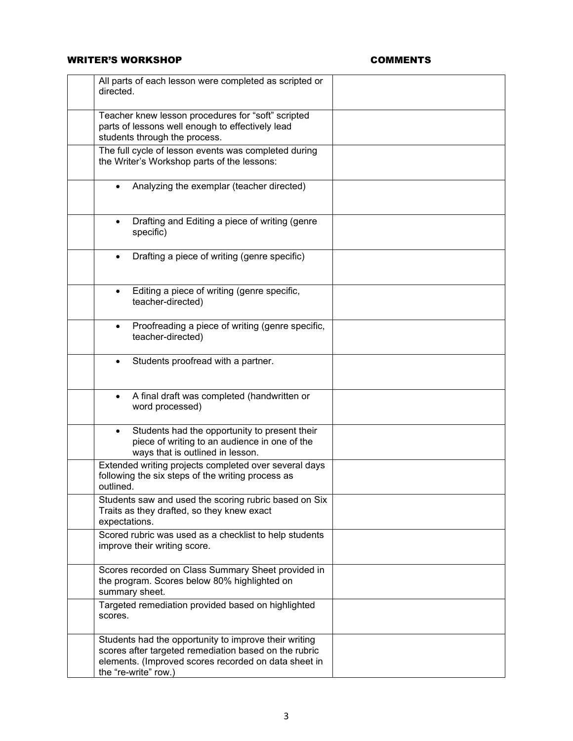### WRITER'S WORKSHOP **COMMENTS**

| All parts of each lesson were completed as scripted or<br>directed.                                                                                                                            |  |
|------------------------------------------------------------------------------------------------------------------------------------------------------------------------------------------------|--|
| Teacher knew lesson procedures for "soft" scripted<br>parts of lessons well enough to effectively lead<br>students through the process.                                                        |  |
| The full cycle of lesson events was completed during<br>the Writer's Workshop parts of the lessons:                                                                                            |  |
| Analyzing the exemplar (teacher directed)                                                                                                                                                      |  |
| Drafting and Editing a piece of writing (genre<br>$\bullet$<br>specific)                                                                                                                       |  |
| Drafting a piece of writing (genre specific)<br>$\bullet$                                                                                                                                      |  |
| Editing a piece of writing (genre specific,<br>$\bullet$<br>teacher-directed)                                                                                                                  |  |
| Proofreading a piece of writing (genre specific,<br>$\bullet$<br>teacher-directed)                                                                                                             |  |
| Students proofread with a partner.                                                                                                                                                             |  |
| A final draft was completed (handwritten or<br>$\bullet$<br>word processed)                                                                                                                    |  |
| Students had the opportunity to present their<br>$\bullet$<br>piece of writing to an audience in one of the<br>ways that is outlined in lesson.                                                |  |
| Extended writing projects completed over several days<br>following the six steps of the writing process as<br>outlined.                                                                        |  |
| Students saw and used the scoring rubric based on Six<br>Traits as they drafted, so they knew exact<br>expectations.                                                                           |  |
| Scored rubric was used as a checklist to help students<br>improve their writing score.                                                                                                         |  |
| Scores recorded on Class Summary Sheet provided in<br>the program. Scores below 80% highlighted on<br>summary sheet.                                                                           |  |
| Targeted remediation provided based on highlighted<br>scores.                                                                                                                                  |  |
| Students had the opportunity to improve their writing<br>scores after targeted remediation based on the rubric<br>elements. (Improved scores recorded on data sheet in<br>the "re-write" row.) |  |